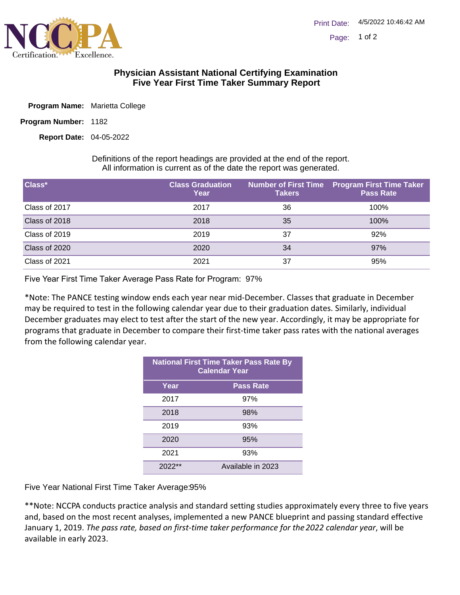

## **Physician Assistant National Certifying Examination Five Year First Time Taker Summary Report**

|  | Program Name: Marietta College |  |
|--|--------------------------------|--|
|  |                                |  |

Program Number: 1182

04-05-2022 **Report Date:**

Definitions of the report headings are provided at the end of the report. All information is current as of the date the report was generated.

| Class*        | <b>Class Graduation</b><br>Year | <b>Takers</b> | Number of First Time Program First Time Taker<br><b>Pass Rate</b> |
|---------------|---------------------------------|---------------|-------------------------------------------------------------------|
| Class of 2017 | 2017                            | 36            | 100%                                                              |
| Class of 2018 | 2018                            | 35            | 100%                                                              |
| Class of 2019 | 2019                            | 37            | 92%                                                               |
| Class of 2020 | 2020                            | 34            | 97%                                                               |
| Class of 2021 | 2021                            | 37            | 95%                                                               |

Five Year First Time Taker Average Pass Rate for Program: 97%

\*Note: The PANCE testing window ends each year near mid-December. Classes that graduate in December may be required to test in the following calendar year due to their graduation dates. Similarly, individual December graduates may elect to test after the start of the new year. Accordingly, it may be appropriate for programs that graduate in December to compare their first-time taker pass rates with the national averages from the following calendar year.

| <b>National First Time Taker Pass Rate By</b><br><b>Calendar Year</b> |                   |  |
|-----------------------------------------------------------------------|-------------------|--|
| Year                                                                  | <b>Pass Rate</b>  |  |
| 2017                                                                  | 97%               |  |
| 2018                                                                  | 98%               |  |
| 2019                                                                  | 93%               |  |
| 2020                                                                  | 95%               |  |
| 2021                                                                  | 93%               |  |
| 2022                                                                  | Available in 2023 |  |

Five Year National First Time Taker Average: 95%

\*\*Note: NCCPA conducts practice analysis and standard setting studies approximately every three to five years and, based on the most recent analyses, implemented a new PANCE blueprint and passing standard effective January 1, 2019. *The pass rate, based on first-time taker performance for the 2022 calendar year*, will be available in early 2023.